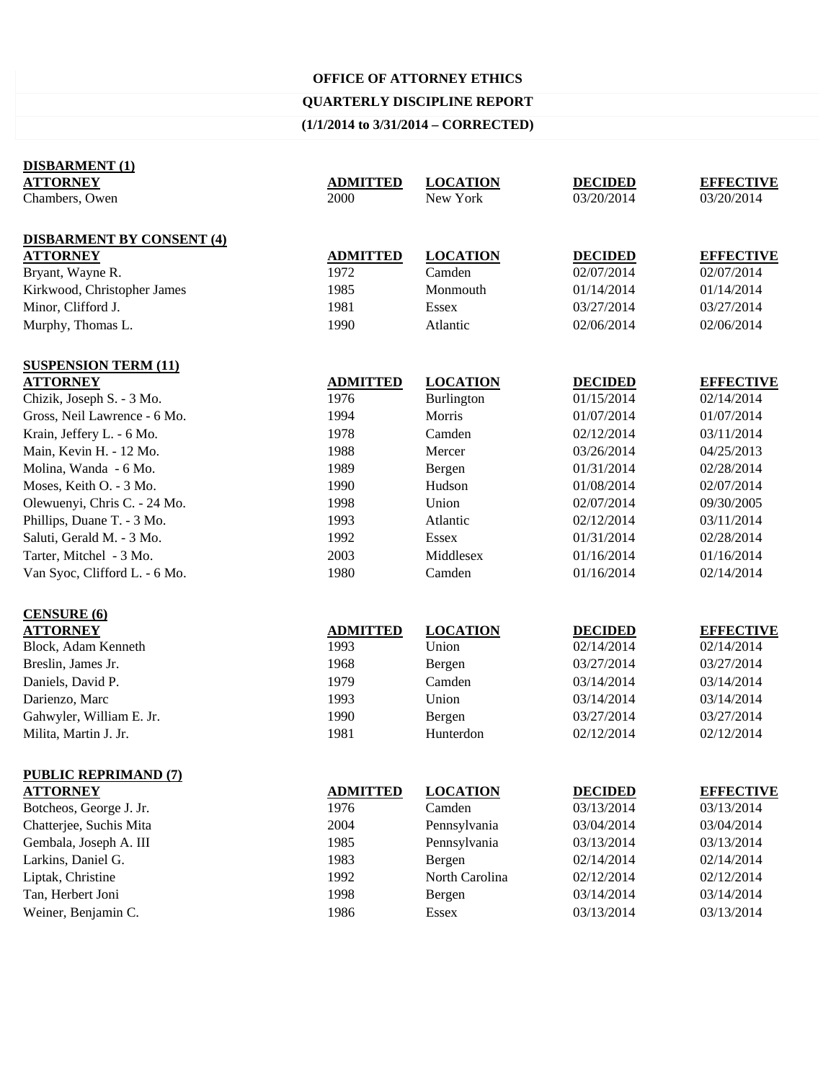### **OFFICE OF ATTORNEY ETHICS**

# **QUARTERLY DISCIPLINE REPORT**

# **(1/1/2014 to 3/31/2014 – CORRECTED)**

| <b>DISBARMENT (1)</b>            |                 |                 |                |                  |
|----------------------------------|-----------------|-----------------|----------------|------------------|
| <b>ATTORNEY</b>                  | <b>ADMITTED</b> | <b>LOCATION</b> | <b>DECIDED</b> | <b>EFFECTIVE</b> |
| Chambers, Owen                   | 2000            | New York        | 03/20/2014     | 03/20/2014       |
|                                  |                 |                 |                |                  |
| <b>DISBARMENT BY CONSENT (4)</b> |                 |                 |                |                  |
| <b>ATTORNEY</b>                  | <b>ADMITTED</b> | <b>LOCATION</b> | <b>DECIDED</b> | <b>EFFECTIVE</b> |
| Bryant, Wayne R.                 | 1972            | Camden          | 02/07/2014     | 02/07/2014       |
| Kirkwood, Christopher James      | 1985            | Monmouth        | 01/14/2014     | 01/14/2014       |
| Minor, Clifford J.               | 1981            | <b>Essex</b>    | 03/27/2014     | 03/27/2014       |
| Murphy, Thomas L.                | 1990            | Atlantic        | 02/06/2014     | 02/06/2014       |
|                                  |                 |                 |                |                  |
| <b>SUSPENSION TERM (11)</b>      |                 |                 |                |                  |
| <b>ATTORNEY</b>                  | <b>ADMITTED</b> | <b>LOCATION</b> | <b>DECIDED</b> | <b>EFFECTIVE</b> |
| Chizik, Joseph S. - 3 Mo.        | 1976            | Burlington      | 01/15/2014     | 02/14/2014       |
| Gross, Neil Lawrence - 6 Mo.     | 1994            | Morris          | 01/07/2014     | 01/07/2014       |
| Krain, Jeffery L. - 6 Mo.        | 1978            | Camden          | 02/12/2014     | 03/11/2014       |
| Main, Kevin H. - 12 Mo.          | 1988            | Mercer          | 03/26/2014     | 04/25/2013       |
| Molina, Wanda - 6 Mo.            | 1989            | Bergen          | 01/31/2014     | 02/28/2014       |
| Moses, Keith O. - 3 Mo.          | 1990            | Hudson          | 01/08/2014     | 02/07/2014       |
| Olewuenyi, Chris C. - 24 Mo.     | 1998            | Union           | 02/07/2014     | 09/30/2005       |
| Phillips, Duane T. - 3 Mo.       | 1993            | Atlantic        | 02/12/2014     | 03/11/2014       |
| Saluti, Gerald M. - 3 Mo.        | 1992            | <b>Essex</b>    | 01/31/2014     | 02/28/2014       |
| Tarter, Mitchel - 3 Mo.          | 2003            | Middlesex       | 01/16/2014     | 01/16/2014       |
| Van Syoc, Clifford L. - 6 Mo.    | 1980            | Camden          | 01/16/2014     | 02/14/2014       |
|                                  |                 |                 |                |                  |
| <b>CENSURE (6)</b>               |                 |                 |                |                  |
| <b>ATTORNEY</b>                  | <b>ADMITTED</b> | <b>LOCATION</b> | <b>DECIDED</b> | <b>EFFECTIVE</b> |
| Block, Adam Kenneth              | 1993            | Union           | 02/14/2014     | 02/14/2014       |
| Breslin, James Jr.               | 1968            | Bergen          | 03/27/2014     | 03/27/2014       |
| Daniels, David P.                | 1979            | Camden          | 03/14/2014     | 03/14/2014       |
| Darienzo, Marc                   | 1993            | Union           | 03/14/2014     | 03/14/2014       |
| Gahwyler, William E. Jr.         | 1990            | Bergen          | 03/27/2014     | 03/27/2014       |
| Milita, Martin J. Jr.            | 1981            | Hunterdon       | 02/12/2014     | 02/12/2014       |
|                                  |                 |                 |                |                  |
| <b>PUBLIC REPRIMAND (7)</b>      |                 |                 |                |                  |
| <b>ATTORNEY</b>                  | <b>ADMITTED</b> | <b>LOCATION</b> | <b>DECIDED</b> | <b>EFFECTIVE</b> |
| Botcheos, George J. Jr.          | 1976            | Camden          | 03/13/2014     | 03/13/2014       |
| Chatterjee, Suchis Mita          | 2004            | Pennsylvania    | 03/04/2014     | 03/04/2014       |
| Gembala, Joseph A. III           | 1985            | Pennsylvania    | 03/13/2014     | 03/13/2014       |
| Larkins, Daniel G.               | 1983            | Bergen          | 02/14/2014     | 02/14/2014       |
| Liptak, Christine                | 1992            | North Carolina  | 02/12/2014     | 02/12/2014       |
| Tan, Herbert Joni                | 1998            | Bergen          | 03/14/2014     | 03/14/2014       |
| Weiner, Benjamin C.              | 1986            | <b>Essex</b>    | 03/13/2014     | 03/13/2014       |
|                                  |                 |                 |                |                  |